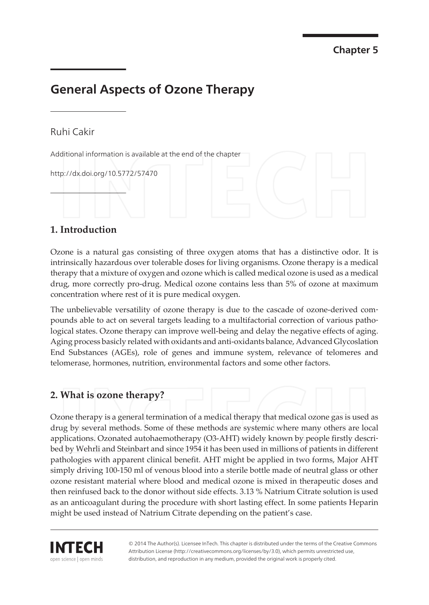# **General Aspects of Ozone Therapy**

# Ruhi Cakir

Additional information is available at the end of the chapter

http://dx.doi.org/10.5772/57470

# **1. Introduction**

Ozone is a natural gas consisting of three oxygen atoms that has a distinctive odor. It is intrinsically hazardous over tolerable doses for living organisms. Ozone therapy is a medical therapy that a mixture of oxygen and ozone which is called medical ozone is used as a medical drug, more correctly pro-drug. Medical ozone contains less than 5% of ozone at maximum concentration where rest of it is pure medical oxygen.

The unbelievable versatility of ozone therapy is due to the cascade of ozone-derived com‐ pounds able to act on several targets leading to a multifactorial correction of various pathological states. Ozone therapy can improve well-being and delay the negative effects of aging. Aging process basicly related with oxidants and anti-oxidants balance, Advanced Glycoslation End Substances (AGEs), role of genes and immune system, relevance of telomeres and telomerase, hormones, nutrition, environmental factors and some other factors.

# **2. What is ozone therapy?**

Ozone therapy is a general termination of a medical therapy that medical ozone gas is used as drug by several methods. Some of these methods are systemic where many others are local applications. Ozonated autohaemotherapy (O3-AHT) widely known by people firstly described by Wehrli and Steinbart and since 1954 it has been used in millions of patients in different pathologies with apparent clinical benefit. AHT might be applied in two forms, Major AHT simply driving 100-150 ml of venous blood into a sterile bottle made of neutral glass or other ozone resistant material where blood and medical ozone is mixed in therapeutic doses and then reinfused back to the donor without side effects. 3.13 % Natrium Citrate solution is used as an anticoagulant during the procedure with short lasting effect. In some patients Heparin might be used instead of Natrium Citrate depending on the patient's case.



© 2014 The Author(s). Licensee InTech. This chapter is distributed under the terms of the Creative Commons Attribution License (http://creativecommons.org/licenses/by/3.0), which permits unrestricted use, distribution, and reproduction in any medium, provided the original work is properly cited.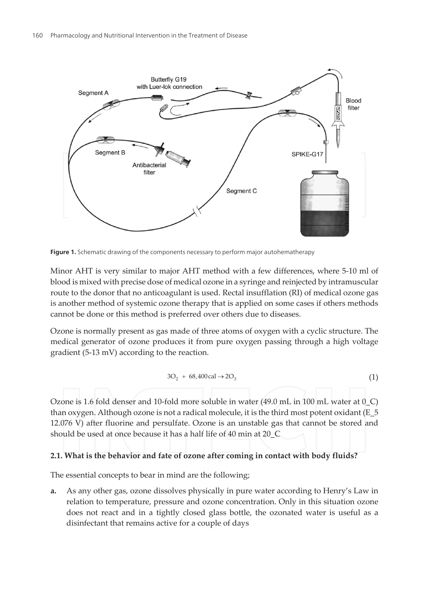

**Figure 1.** Schematic drawing of the components necessary to perform major autohematherapy

Minor AHT is very similar to major AHT method with a few differences, where 5-10 ml of blood is mixed with precise dose of medical ozone in a syringe and reinjected by intramuscular route to the donor that no anticoagulant is used. Rectal insufflation (RI) of medical ozone gas is another method of systemic ozone therapy that is applied on some cases if others methods cannot be done or this method is preferred over others due to diseases.

Ozone is normally present as gas made of three atoms of oxygen with a cyclic structure. The medical generator of ozone produces it from pure oxygen passing through a high voltage gradient (5-13 mV) according to the reaction.

$$
3O_2 + 68,400 \text{ cal} \rightarrow 2O_3 \tag{1}
$$

Ozone is 1.6 fold denser and 10-fold more soluble in water (49.0 mL in 100 mL water at 0\_C) than oxygen. Although ozone is not a radical molecule, it is the third most potent oxidant (E\_5 12.076 V) after fluorine and persulfate. Ozone is an unstable gas that cannot be stored and should be used at once because it has a half life of 40 min at 20\_C

#### **2.1. What is the behavior and fate of ozone after coming in contact with body fluids?**

The essential concepts to bear in mind are the following;

**a.** As any other gas, ozone dissolves physically in pure water according to Henry's Law in relation to temperature, pressure and ozone concentration. Only in this situation ozone does not react and in a tightly closed glass bottle, the ozonated water is useful as a disinfectant that remains active for a couple of days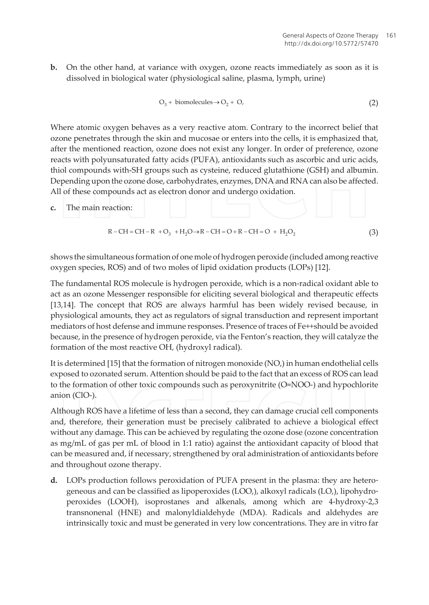**b.** On the other hand, at variance with oxygen, ozone reacts immediately as soon as it is dissolved in biological water (physiological saline, plasma, lymph, urine)

$$
O_3 + \text{biomolecules} \rightarrow O_2 + O,\tag{2}
$$

Where atomic oxygen behaves as a very reactive atom. Contrary to the incorrect belief that ozone penetrates through the skin and mucosae or enters into the cells, it is emphasized that, after the mentioned reaction, ozone does not exist any longer. In order of preference, ozone reacts with polyunsaturated fatty acids (PUFA), antioxidants such as ascorbic and uric acids, thiol compounds with-SH groups such as cysteine, reduced glutathione (GSH) and albumin. Depending upon the ozone dose, carbohydrates, enzymes, DNA and RNA can also be affected. All of these compounds act as electron donor and undergo oxidation.

**c.** The main reaction:

$$
R - CH = CH - R + O3 + H2O \rightarrow R - CH = O + R - CH = O + H2O2
$$
\n(3)

shows the simultaneous formation of one mole of hydrogen peroxide (included among reactive oxygen species, ROS) and of two moles of lipid oxidation products (LOPs) [12].

The fundamental ROS molecule is hydrogen peroxide, which is a non-radical oxidant able to act as an ozone Messenger responsible for eliciting several biological and therapeutic effects [13,14]. The concept that ROS are always harmful has been widely revised because, in physiological amounts, they act as regulators of signal transduction and represent important mediators of host defense and immune responses. Presence of traces of Fe++should be avoided because, in the presence of hydrogen peroxide, via the Fenton's reaction, they will catalyze the formation of the most reactive OH, (hydroxyl radical).

It is determined [15] that the formation of nitrogen monoxide (NO,) in human endothelial cells exposed to ozonated serum. Attention should be paid to the fact that an excess of ROS can lead to the formation of other toxic compounds such as peroxynitrite (O=NOO-) and hypochlorite anion (ClO-).

Although ROS have a lifetime of less than a second, they can damage crucial cell components and, therefore, their generation must be precisely calibrated to achieve a biological effect without any damage. This can be achieved by regulating the ozone dose (ozone concentration as mg/mL of gas per mL of blood in 1:1 ratio) against the antioxidant capacity of blood that can be measured and, if necessary, strengthened by oral administration of antioxidants before and throughout ozone therapy.

**d.** LOPs production follows peroxidation of PUFA present in the plasma: they are hetero‐ geneous and can be classified as lipoperoxides (LOO,), alkoxyl radicals (LO,), lipohydro‐ peroxides (LOOH), isoprostanes and alkenals, among which are 4-hydroxy-2,3 transnonenal (HNE) and malonyldialdehyde (MDA). Radicals and aldehydes are intrinsically toxic and must be generated in very low concentrations. They are in vitro far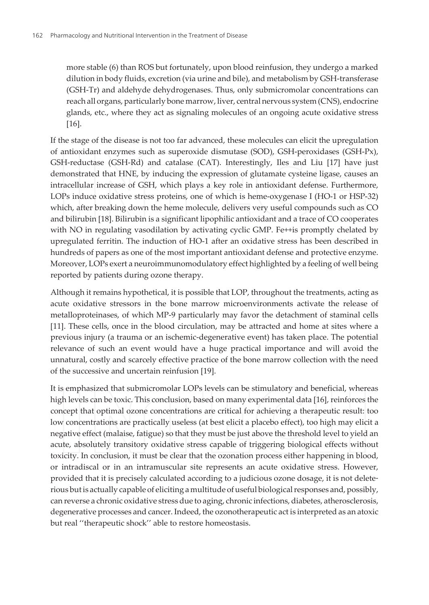more stable (6) than ROS but fortunately, upon blood reinfusion, they undergo a marked dilution in body fluids, excretion (via urine and bile), and metabolism by GSH-transferase (GSH-Tr) and aldehyde dehydrogenases. Thus, only submicromolar concentrations can reach all organs, particularly bone marrow, liver, central nervous system (CNS), endocrine glands, etc., where they act as signaling molecules of an ongoing acute oxidative stress [16].

If the stage of the disease is not too far advanced, these molecules can elicit the upregulation of antioxidant enzymes such as superoxide dismutase (SOD), GSH-peroxidases (GSH-Px), GSH-reductase (GSH-Rd) and catalase (CAT). Interestingly, Iles and Liu [17] have just demonstrated that HNE, by inducing the expression of glutamate cysteine ligase, causes an intracellular increase of GSH, which plays a key role in antioxidant defense. Furthermore, LOPs induce oxidative stress proteins, one of which is heme-oxygenase I (HO-1 or HSP-32) which, after breaking down the heme molecule, delivers very useful compounds such as CO and bilirubin [18]. Bilirubin is a significant lipophilic antioxidant and a trace of CO cooperates with NO in regulating vasodilation by activating cyclic GMP. Fe++is promptly chelated by upregulated ferritin. The induction of HO-1 after an oxidative stress has been described in hundreds of papers as one of the most important antioxidant defense and protective enzyme. Moreover, LOPs exert a neuroimmunomodulatory effect highlighted by a feeling of well being reported by patients during ozone therapy.

Although it remains hypothetical, it is possible that LOP, throughout the treatments, acting as acute oxidative stressors in the bone marrow microenvironments activate the release of metalloproteinases, of which MP-9 particularly may favor the detachment of staminal cells [11]. These cells, once in the blood circulation, may be attracted and home at sites where a previous injury (a trauma or an ischemic-degenerative event) has taken place. The potential relevance of such an event would have a huge practical importance and will avoid the unnatural, costly and scarcely effective practice of the bone marrow collection with the need of the successive and uncertain reinfusion [19].

It is emphasized that submicromolar LOPs levels can be stimulatory and beneficial, whereas high levels can be toxic. This conclusion, based on many experimental data [16], reinforces the concept that optimal ozone concentrations are critical for achieving a therapeutic result: too low concentrations are practically useless (at best elicit a placebo effect), too high may elicit a negative effect (malaise, fatigue) so that they must be just above the threshold level to yield an acute, absolutely transitory oxidative stress capable of triggering biological effects without toxicity. In conclusion, it must be clear that the ozonation process either happening in blood, or intradiscal or in an intramuscular site represents an acute oxidative stress. However, provided that it is precisely calculated according to a judicious ozone dosage, it is not deleterious but is actually capable of eliciting a multitude of useful biological responses and, possibly, can reverse a chronic oxidative stress due to aging, chronic infections, diabetes, atherosclerosis, degenerative processes and cancer. Indeed, the ozonotherapeutic act is interpreted as an atoxic but real ''therapeutic shock'' able to restore homeostasis.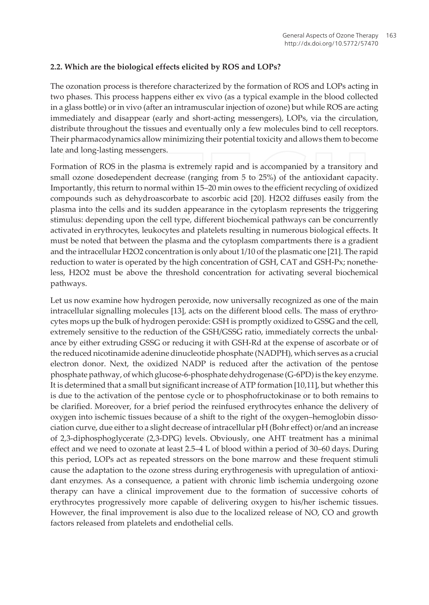#### **2.2. Which are the biological effects elicited by ROS and LOPs?**

The ozonation process is therefore characterized by the formation of ROS and LOPs acting in two phases. This process happens either ex vivo (as a typical example in the blood collected in a glass bottle) or in vivo (after an intramuscular injection of ozone) but while ROS are acting immediately and disappear (early and short-acting messengers), LOPs, via the circulation, distribute throughout the tissues and eventually only a few molecules bind to cell receptors. Their pharmacodynamics allow minimizing their potential toxicity and allows them to become late and long-lasting messengers.

Formation of ROS in the plasma is extremely rapid and is accompanied by a transitory and small ozone dosedependent decrease (ranging from 5 to 25%) of the antioxidant capacity. Importantly, this return to normal within 15–20 min owes to the efficient recycling of oxidized compounds such as dehydroascorbate to ascorbic acid [20]. H2O2 diffuses easily from the plasma into the cells and its sudden appearance in the cytoplasm represents the triggering stimulus: depending upon the cell type, different biochemical pathways can be concurrently activated in erythrocytes, leukocytes and platelets resulting in numerous biological effects. It must be noted that between the plasma and the cytoplasm compartments there is a gradient and the intracellular H2O2 concentration is only about 1/10 of the plasmatic one [21]. The rapid reduction to water is operated by the high concentration of GSH, CAT and GSH-Px; nonethe‐ less, H2O2 must be above the threshold concentration for activating several biochemical pathways.

Let us now examine how hydrogen peroxide, now universally recognized as one of the main intracellular signalling molecules [13], acts on the different blood cells. The mass of erythrocytes mops up the bulk of hydrogen peroxide: GSH is promptly oxidized to GSSG and the cell, extremely sensitive to the reduction of the GSH/GSSG ratio, immediately corrects the unbalance by either extruding GSSG or reducing it with GSH-Rd at the expense of ascorbate or of the reduced nicotinamide adenine dinucleotide phosphate (NADPH), which serves as a crucial electron donor. Next, the oxidized NADP is reduced after the activation of the pentose phosphate pathway, of which glucose-6-phosphate dehydrogenase (G-6PD) is the key enzyme. It is determined that a small but significant increase of ATP formation [10,11], but whether this is due to the activation of the pentose cycle or to phosphofructokinase or to both remains to be clarified. Moreover, for a brief period the reinfused erythrocytes enhance the delivery of oxygen into ischemic tissues because of a shift to the right of the oxygen–hemoglobin dissociation curve, due either to a slight decrease of intracellular pH (Bohr effect) or/and an increase of 2,3-diphosphoglycerate (2,3-DPG) levels. Obviously, one AHT treatment has a minimal effect and we need to ozonate at least 2.5–4 L of blood within a period of 30–60 days. During this period, LOPs act as repeated stressors on the bone marrow and these frequent stimuli cause the adaptation to the ozone stress during erythrogenesis with upregulation of antioxidant enzymes. As a consequence, a patient with chronic limb ischemia undergoing ozone therapy can have a clinical improvement due to the formation of successive cohorts of erythrocytes progressively more capable of delivering oxygen to his/her ischemic tissues. However, the final improvement is also due to the localized release of NO, CO and growth factors released from platelets and endothelial cells.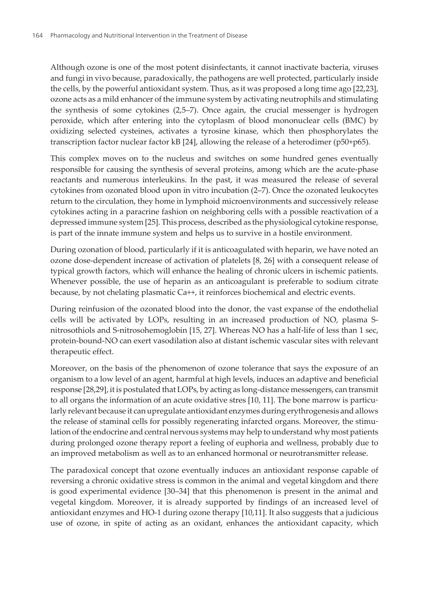Although ozone is one of the most potent disinfectants, it cannot inactivate bacteria, viruses and fungi in vivo because, paradoxically, the pathogens are well protected, particularly inside the cells, by the powerful antioxidant system. Thus, as it was proposed a long time ago [22,23], ozone acts as a mild enhancer of the immune system by activating neutrophils and stimulating the synthesis of some cytokines (2,5–7). Once again, the crucial messenger is hydrogen peroxide, which after entering into the cytoplasm of blood mononuclear cells (BMC) by oxidizing selected cysteines, activates a tyrosine kinase, which then phosphorylates the transcription factor nuclear factor kB [24], allowing the release of a heterodimer (p50+p65).

This complex moves on to the nucleus and switches on some hundred genes eventually responsible for causing the synthesis of several proteins, among which are the acute-phase reactants and numerous interleukins. In the past, it was measured the release of several cytokines from ozonated blood upon in vitro incubation (2–7). Once the ozonated leukocytes return to the circulation, they home in lymphoid microenvironments and successively release cytokines acting in a paracrine fashion on neighboring cells with a possible reactivation of a depressed immune system [25]. This process, described as the physiological cytokine response, is part of the innate immune system and helps us to survive in a hostile environment.

During ozonation of blood, particularly if it is anticoagulated with heparin, we have noted an ozone dose-dependent increase of activation of platelets [8, 26] with a consequent release of typical growth factors, which will enhance the healing of chronic ulcers in ischemic patients. Whenever possible, the use of heparin as an anticoagulant is preferable to sodium citrate because, by not chelating plasmatic Ca++, it reinforces biochemical and electric events.

During reinfusion of the ozonated blood into the donor, the vast expanse of the endothelial cells will be activated by LOPs, resulting in an increased production of NO, plasma Snitrosothiols and S-nitrosohemoglobin [15, 27]. Whereas NO has a half-life of less than 1 sec, protein-bound-NO can exert vasodilation also at distant ischemic vascular sites with relevant therapeutic effect.

Moreover, on the basis of the phenomenon of ozone tolerance that says the exposure of an organism to a low level of an agent, harmful at high levels, induces an adaptive and beneficial response [28,29], it is postulated that LOPs, by acting as long-distance messengers, can transmit to all organs the information of an acute oxidative stres  $[10, 11]$ . The bone marrow is particularly relevant because it can upregulate antioxidant enzymes during erythrogenesis and allows the release of staminal cells for possibly regenerating infarcted organs. Moreover, the stimu‐ lation of the endocrine and central nervous systems may help to understand why most patients during prolonged ozone therapy report a feeling of euphoria and wellness, probably due to an improved metabolism as well as to an enhanced hormonal or neurotransmitter release.

The paradoxical concept that ozone eventually induces an antioxidant response capable of reversing a chronic oxidative stress is common in the animal and vegetal kingdom and there is good experimental evidence [30–34] that this phenomenon is present in the animal and vegetal kingdom. Moreover, it is already supported by findings of an increased level of antioxidant enzymes and HO-1 during ozone therapy [10,11]. It also suggests that a judicious use of ozone, in spite of acting as an oxidant, enhances the antioxidant capacity, which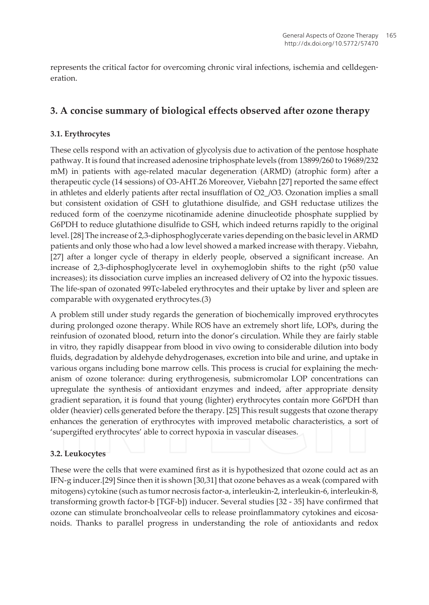represents the critical factor for overcoming chronic viral infections, ischemia and celldegeneration.

# **3. A concise summary of biological effects observed after ozone therapy**

#### **3.1. Erythrocytes**

These cells respond with an activation of glycolysis due to activation of the pentose hosphate pathway. It is found that increased adenosine triphosphate levels (from 13899/260 to 19689/232 mM) in patients with age-related macular degeneration (ARMD) (atrophic form) after a therapeutic cycle (14 sessions) of O3-AHT.26 Moreover, Viebahn [27] reported the same effect in athletes and elderly patients after rectal insufflation of O2\_/O3. Ozonation implies a small but consistent oxidation of GSH to glutathione disulfide, and GSH reductase utilizes the reduced form of the coenzyme nicotinamide adenine dinucleotide phosphate supplied by G6PDH to reduce glutathione disulfide to GSH, which indeed returns rapidly to the original level. [28] The increase of 2,3-diphosphoglycerate varies depending on the basic level in ARMD patients and only those who had a low level showed a marked increase with therapy. Viebahn, [27] after a longer cycle of therapy in elderly people, observed a significant increase. An increase of 2,3-diphosphoglycerate level in oxyhemoglobin shifts to the right (p50 value increases); its dissociation curve implies an increased delivery of O2 into the hypoxic tissues. The life-span of ozonated 99Tc-labeled erythrocytes and their uptake by liver and spleen are comparable with oxygenated erythrocytes.(3)

A problem still under study regards the generation of biochemically improved erythrocytes during prolonged ozone therapy. While ROS have an extremely short life, LOPs, during the reinfusion of ozonated blood, return into the donor's circulation. While they are fairly stable in vitro, they rapidly disappear from blood in vivo owing to considerable dilution into body fluids, degradation by aldehyde dehydrogenases, excretion into bile and urine, and uptake in various organs including bone marrow cells. This process is crucial for explaining the mechanism of ozone tolerance: during erythrogenesis, submicromolar LOP concentrations can upregulate the synthesis of antioxidant enzymes and indeed, after appropriate density gradient separation, it is found that young (lighter) erythrocytes contain more G6PDH than older (heavier) cells generated before the therapy. [25] This result suggests that ozone therapy enhances the generation of erythrocytes with improved metabolic characteristics, a sort of 'supergifted erythrocytes' able to correct hypoxia in vascular diseases.

### **3.2. Leukocytes**

These were the cells that were examined first as it is hypothesized that ozone could act as an IFN-g inducer.[29] Since then it is shown [30,31] that ozone behaves as a weak (compared with mitogens) cytokine (such as tumor necrosis factor-a, interleukin-2, interleukin-6, interleukin-8, transforming growth factor-b [TGF-b]) inducer. Several studies [32 - 35] have confirmed that ozone can stimulate bronchoalveolar cells to release proinflammatory cytokines and eicosanoids. Thanks to parallel progress in understanding the role of antioxidants and redox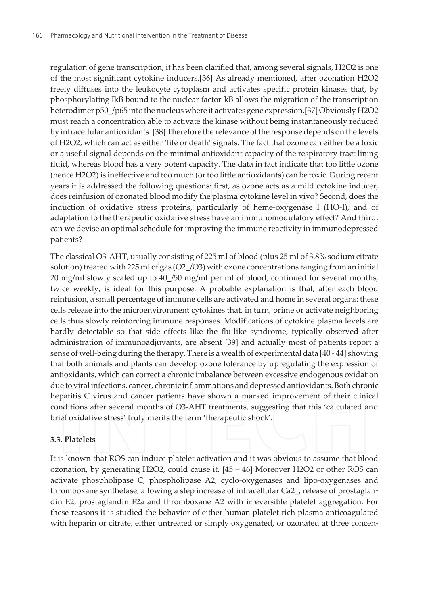regulation of gene transcription, it has been clarified that, among several signals, H2O2 is one of the most significant cytokine inducers.[36] As already mentioned, after ozonation H2O2 freely diffuses into the leukocyte cytoplasm and activates specific protein kinases that, by phosphorylating IkB bound to the nuclear factor-kB allows the migration of the transcription heterodimer p50\_/p65 into the nucleus where it activates gene expression.[37] Obviously H2O2 must reach a concentration able to activate the kinase without being instantaneously reduced by intracellular antioxidants. [38] Therefore the relevance of the response depends on the levels of H2O2, which can act as either 'life or death' signals. The fact that ozone can either be a toxic or a useful signal depends on the minimal antioxidant capacity of the respiratory tract lining fluid, whereas blood has a very potent capacity. The data in fact indicate that too little ozone (hence H2O2) is ineffective and too much (or too little antioxidants) can be toxic. During recent years it is addressed the following questions: first, as ozone acts as a mild cytokine inducer, does reinfusion of ozonated blood modify the plasma cytokine level in vivo? Second, does the induction of oxidative stress proteins, particularly of heme-oxygenase I (HO-I), and of adaptation to the therapeutic oxidative stress have an immunomodulatory effect? And third, can we devise an optimal schedule for improving the immune reactivity in immunodepressed patients?

The classical O3-AHT, usually consisting of 225 ml of blood (plus 25 ml of 3.8% sodium citrate solution) treated with 225 ml of gas (O2\_/O3) with ozone concentrations ranging from an initial 20 mg/ml slowly scaled up to 40\_/50 mg/ml per ml of blood, continued for several months, twice weekly, is ideal for this purpose. A probable explanation is that, after each blood reinfusion, a small percentage of immune cells are activated and home in several organs: these cells release into the microenvironment cytokines that, in turn, prime or activate neighboring cells thus slowly reinforcing immune responses. Modifications of cytokine plasma levels are hardly detectable so that side effects like the flu-like syndrome, typically observed after administration of immunoadjuvants, are absent [39] and actually most of patients report a sense of well-being during the therapy. There is a wealth of experimental data [40 - 44] showing that both animals and plants can develop ozone tolerance by upregulating the expression of antioxidants, which can correct a chronic imbalance between excessive endogenous oxidation due to viral infections, cancer, chronic inflammations and depressed antioxidants. Both chronic hepatitis C virus and cancer patients have shown a marked improvement of their clinical conditions after several months of O3-AHT treatments, suggesting that this 'calculated and brief oxidative stress' truly merits the term 'therapeutic shock'.

#### **3.3. Platelets**

It is known that ROS can induce platelet activation and it was obvious to assume that blood ozonation, by generating H2O2, could cause it. [45 – 46] Moreover H2O2 or other ROS can activate phospholipase C, phospholipase A2, cyclo-oxygenases and lipo-oxygenases and thromboxane synthetase, allowing a step increase of intracellular Ca2\_, release of prostaglan‐ din E2, prostaglandin F2a and thromboxane A2 with irreversible platelet aggregation. For these reasons it is studied the behavior of either human platelet rich-plasma anticoagulated with heparin or citrate, either untreated or simply oxygenated, or ozonated at three concen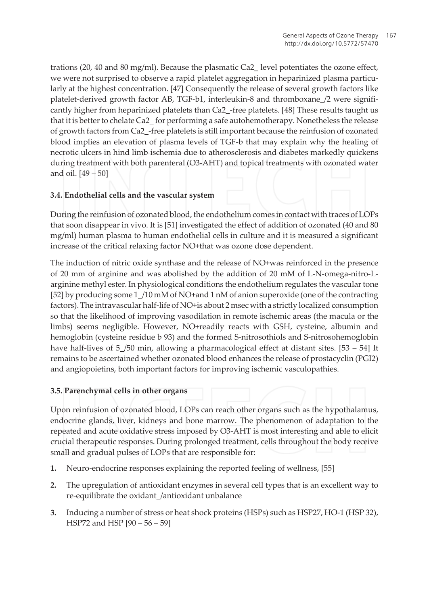trations (20, 40 and 80 mg/ml). Because the plasmatic Ca2\_ level potentiates the ozone effect, we were not surprised to observe a rapid platelet aggregation in heparinized plasma particularly at the highest concentration. [47] Consequently the release of several growth factors like platelet-derived growth factor AB, TGF-b1, interleukin-8 and thromboxane /2 were significantly higher from heparinized platelets than Ca2\_-free platelets. [48] These results taught us that it is better to chelate Ca2\_ for performing a safe autohemotherapy. Nonetheless the release of growth factors from Ca2\_-free platelets is still important because the reinfusion of ozonated blood implies an elevation of plasma levels of TGF-b that may explain why the healing of necrotic ulcers in hind limb ischemia due to atherosclerosis and diabetes markedly quickens during treatment with both parenteral (O3-AHT) and topical treatments with ozonated water and oil. [49 – 50]

#### **3.4. Endothelial cells and the vascular system**

During the reinfusion of ozonated blood, the endothelium comes in contact with traces of LOPs that soon disappear in vivo. It is [51] investigated the effect of addition of ozonated (40 and 80 mg/ml) human plasma to human endothelial cells in culture and it is measured a significant increase of the critical relaxing factor NO+that was ozone dose dependent.

The induction of nitric oxide synthase and the release of NO+was reinforced in the presence of 20 mm of arginine and was abolished by the addition of 20 mM of L-N-omega-nitro-Larginine methyl ester. In physiological conditions the endothelium regulates the vascular tone [52] by producing some 1\_/10 mM of NO+and 1 nM of anion superoxide (one of the contracting factors). The intravascular half-life of NO+is about 2 msec with a strictly localized consumption so that the likelihood of improving vasodilation in remote ischemic areas (the macula or the limbs) seems negligible. However, NO+readily reacts with GSH, cysteine, albumin and hemoglobin (cysteine residue b 93) and the formed S-nitrosothiols and S-nitrosohemoglobin have half-lives of 5\_/50 min, allowing a pharmacological effect at distant sites. [53 – 54] It remains to be ascertained whether ozonated blood enhances the release of prostacyclin (PGI2) and angiopoietins, both important factors for improving ischemic vasculopathies.

#### **3.5. Parenchymal cells in other organs**

Upon reinfusion of ozonated blood, LOPs can reach other organs such as the hypothalamus, endocrine glands, liver, kidneys and bone marrow. The phenomenon of adaptation to the repeated and acute oxidative stress imposed by O3-AHT is most interesting and able to elicit crucial therapeutic responses. During prolonged treatment, cells throughout the body receive small and gradual pulses of LOPs that are responsible for:

- **1.** Neuro-endocrine responses explaining the reported feeling of wellness, [55]
- **2.** The upregulation of antioxidant enzymes in several cell types that is an excellent way to re-equilibrate the oxidant\_/antioxidant unbalance
- **3.** Inducing a number of stress or heat shock proteins (HSPs) such as HSP27, HO-1 (HSP 32), HSP72 and HSP [90 – 56 – 59]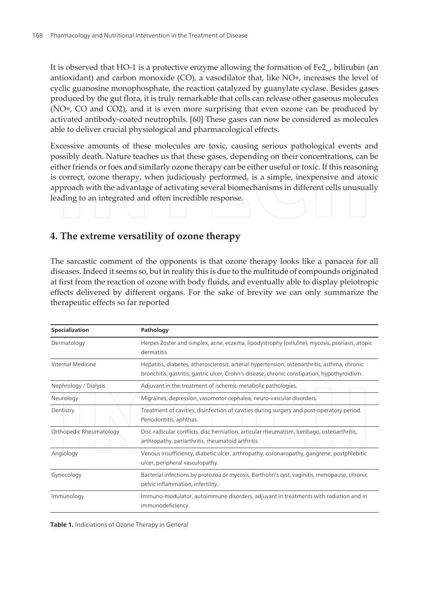It is observed that HO-1 is a protective enzyme allowing the formation of Fe2\_, bilirubin (an antioxidant) and carbon monoxide (CO), a vasodilator that, like NO+, increases the level of cyclic guanosine monophosphate, the reaction catalyzed by guanylate cyclase. Besides gases produced by the gut flora, it is truly remarkable that cells can release other gaseous molecules (NO+, CO and CO2), and it is even more surprising that even ozone can be produced by activated antibody-coated neutrophils. [60] These gases can now be considered as molecules able to deliver crucial physiological and pharmacological effects.

Excessive amounts of these molecules are toxic, causing serious pathological events and possibly death. Nature teaches us that these gases, depending on their concentrations, can be either friends or foes and similarly ozone therapy can be either useful or toxic. If this reasoning is correct, ozone therapy, when judiciously performed, is a simple, inexpensive and atoxic approach with the advantage of activating several biomechanisms in different cells unusually leading to an integrated and often incredible response.

#### **4. The extreme versatility of ozone therapy**

The sarcastic comment of the opponents is that ozone therapy looks like a panacea for all diseases. Indeed it seems so, but in reality this is due to the multitude of compounds originated at first from the reaction of ozone with body fluids, and eventually able to display pleiotropic effects delivered by different organs. For the sake of brevity we can only summarize the therapeutic effects so far reported

| Specialization          | Pathology                                                                                                                                                                                    |
|-------------------------|----------------------------------------------------------------------------------------------------------------------------------------------------------------------------------------------|
| Dermatology             | Herpes Zoster and simplex, acne, eczema, lipodystrophy (cellulite), mycosis, psoriasis, atopic<br>dermatitis                                                                                 |
| Internal Medicine       | Hepatitis, diabetes, atherosclerosis, arterial hypertension, osteoarthritis, asthma, chronic<br>bronchitis, gastritis, gastric ulcer, Crohn's disease, chronic constipation, hypothyroidism. |
| Nephrology / Dialysis   | Adjuvant in the treatment of ischemic-metabolic pathologies.                                                                                                                                 |
| Neurology               | Migraines, depression, vasomotor cephalea, neuro-vascular disorders.                                                                                                                         |
| Dentistry               | Treatment of cavities, disinfection of cavities during surgery and post-operatory period.<br>Periodontitis, aphthas.                                                                         |
| Orthopedic Rheumatology | Disc-radicular conflicts, disc herniation, articular rheumatism, lumbago, osteoarthritis,<br>arthropathy, periarthritis, rheumatoid arthritis.                                               |
| Angiology               | Venous insufficiency, diabetic ulcer, arthropathy, coronaropathy, gangrene, postphlebitic<br>ulcer, peripheral vasculopathy.                                                                 |
| Gynecology              | Bacterial infections by protozoa or mycosis, Bartholin's cyst, vaginitis, menopause, chronic<br>pelvic inflammation, infertility.                                                            |
| Immunology              | Immuno-modulator, autoimmune disorders, adjuvant in treatments with radiation and in<br>immunodeficiency.                                                                                    |

**Table 1.** Indiciations of Ozone Therapy in General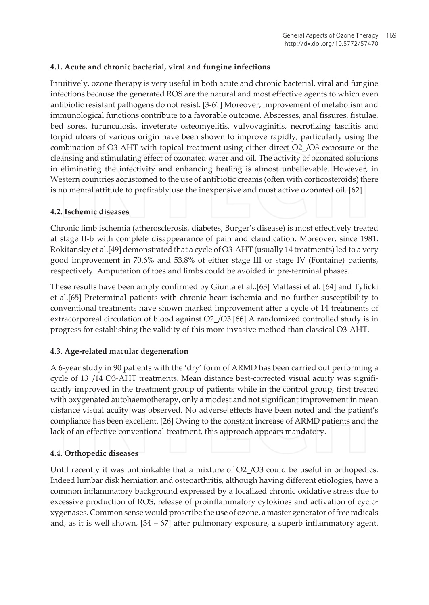#### **4.1. Acute and chronic bacterial, viral and fungine infections**

Intuitively, ozone therapy is very useful in both acute and chronic bacterial, viral and fungine infections because the generated ROS are the natural and most effective agents to which even antibiotic resistant pathogens do not resist. [3-61] Moreover, improvement of metabolism and immunological functions contribute to a favorable outcome. Abscesses, anal fissures, fistulae, bed sores, furunculosis, inveterate osteomyelitis, vulvovaginitis, necrotizing fasciitis and torpid ulcers of various origin have been shown to improve rapidly, particularly using the combination of O3-AHT with topical treatment using either direct O2\_/O3 exposure or the cleansing and stimulating effect of ozonated water and oil. The activity of ozonated solutions in eliminating the infectivity and enhancing healing is almost unbelievable. However, in Western countries accustomed to the use of antibiotic creams (often with corticosteroids) there is no mental attitude to profitably use the inexpensive and most active ozonated oil. [62]

#### **4.2. Ischemic diseases**

Chronic limb ischemia (atherosclerosis, diabetes, Burger's disease) is most effectively treated at stage II-b with complete disappearance of pain and claudication. Moreover, since 1981, Rokitansky et al.[49] demonstrated that a cycle of O3-AHT (usually 14 treatments) led to a very good improvement in 70.6% and 53.8% of either stage III or stage IV (Fontaine) patients, respectively. Amputation of toes and limbs could be avoided in pre-terminal phases.

These results have been amply confirmed by Giunta et al.,[63] Mattassi et al. [64] and Tylicki et al.[65] Preterminal patients with chronic heart ischemia and no further susceptibility to conventional treatments have shown marked improvement after a cycle of 14 treatments of extracorporeal circulation of blood against O2\_/O3.[66] A randomized controlled study is in progress for establishing the validity of this more invasive method than classical O3-AHT.

#### **4.3. Age-related macular degeneration**

A 6-year study in 90 patients with the 'dry' form of ARMD has been carried out performing a cycle of 13\_/14 O3-AHT treatments. Mean distance best-corrected visual acuity was significantly improved in the treatment group of patients while in the control group, first treated with oxygenated autohaemotherapy, only a modest and not significant improvement in mean distance visual acuity was observed. No adverse effects have been noted and the patient's compliance has been excellent. [26] Owing to the constant increase of ARMD patients and the lack of an effective conventional treatment, this approach appears mandatory.

#### **4.4. Orthopedic diseases**

Until recently it was unthinkable that a mixture of O2\_/O3 could be useful in orthopedics. Indeed lumbar disk herniation and osteoarthritis, although having different etiologies, have a common inflammatory background expressed by a localized chronic oxidative stress due to excessive production of ROS, release of proinflammatory cytokines and activation of cycloxygenases. Common sense would proscribe the use of ozone, a master generator of free radicals and, as it is well shown, [34 – 67] after pulmonary exposure, a superb inflammatory agent.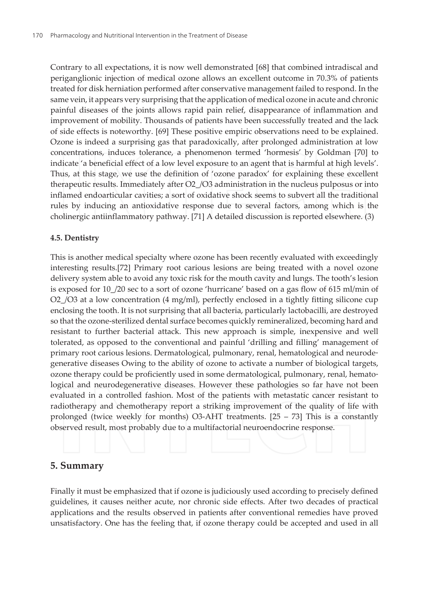Contrary to all expectations, it is now well demonstrated [68] that combined intradiscal and periganglionic injection of medical ozone allows an excellent outcome in 70.3% of patients treated for disk herniation performed after conservative management failed to respond. In the same vein, it appears very surprising that the application of medical ozone in acute and chronic painful diseases of the joints allows rapid pain relief, disappearance of inflammation and improvement of mobility. Thousands of patients have been successfully treated and the lack of side effects is noteworthy. [69] These positive empiric observations need to be explained. Ozone is indeed a surprising gas that paradoxically, after prolonged administration at low concentrations, induces tolerance, a phenomenon termed 'hormesis' by Goldman [70] to indicate 'a beneficial effect of a low level exposure to an agent that is harmful at high levels'. Thus, at this stage, we use the definition of 'ozone paradox' for explaining these excellent therapeutic results. Immediately after O2\_/O3 administration in the nucleus pulposus or into inflamed endoarticular cavities; a sort of oxidative shock seems to subvert all the traditional rules by inducing an antioxidative response due to several factors, among which is the cholinergic antiinflammatory pathway. [71] A detailed discussion is reported elsewhere. (3)

#### **4.5. Dentistry**

This is another medical specialty where ozone has been recently evaluated with exceedingly interesting results.[72] Primary root carious lesions are being treated with a novel ozone delivery system able to avoid any toxic risk for the mouth cavity and lungs. The tooth's lesion is exposed for 10\_/20 sec to a sort of ozone 'hurricane' based on a gas flow of 615 ml/min of O2\_/O3 at a low concentration (4 mg/ml), perfectly enclosed in a tightly fitting silicone cup enclosing the tooth. It is not surprising that all bacteria, particularly lactobacilli, are destroyed so that the ozone-sterilized dental surface becomes quickly remineralized, becoming hard and resistant to further bacterial attack. This new approach is simple, inexpensive and well tolerated, as opposed to the conventional and painful 'drilling and filling' management of primary root carious lesions. Dermatological, pulmonary, renal, hematological and neurode‐ generative diseases Owing to the ability of ozone to activate a number of biological targets, ozone therapy could be proficiently used in some dermatological, pulmonary, renal, hemato‐ logical and neurodegenerative diseases. However these pathologies so far have not been evaluated in a controlled fashion. Most of the patients with metastatic cancer resistant to radiotherapy and chemotherapy report a striking improvement of the quality of life with prolonged (twice weekly for months) O3-AHT treatments. [25 – 73] This is a constantly observed result, most probably due to a multifactorial neuroendocrine response.

#### **5. Summary**

Finally it must be emphasized that if ozone is judiciously used according to precisely defined guidelines, it causes neither acute, nor chronic side effects. After two decades of practical applications and the results observed in patients after conventional remedies have proved unsatisfactory. One has the feeling that, if ozone therapy could be accepted and used in all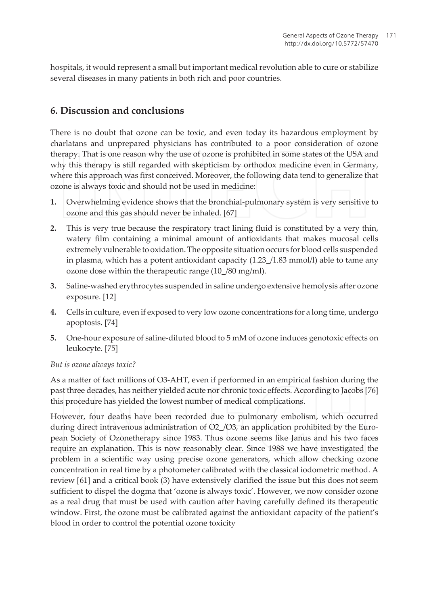hospitals, it would represent a small but important medical revolution able to cure or stabilize several diseases in many patients in both rich and poor countries.

# **6. Discussion and conclusions**

There is no doubt that ozone can be toxic, and even today its hazardous employment by charlatans and unprepared physicians has contributed to a poor consideration of ozone therapy. That is one reason why the use of ozone is prohibited in some states of the USA and why this therapy is still regarded with skepticism by orthodox medicine even in Germany, where this approach was first conceived. Moreover, the following data tend to generalize that ozone is always toxic and should not be used in medicine:

- **1.** Overwhelming evidence shows that the bronchial-pulmonary system is very sensitive to ozone and this gas should never be inhaled. [67]
- **2.** This is very true because the respiratory tract lining fluid is constituted by a very thin, watery film containing a minimal amount of antioxidants that makes mucosal cells extremely vulnerable to oxidation. The opposite situation occurs for blood cells suspended in plasma, which has a potent antioxidant capacity  $(1.23 \text{ /}1.83 \text{ mmol/l})$  able to tame any ozone dose within the therapeutic range (10\_/80 mg/ml).
- **3.** Saline-washed erythrocytes suspended in saline undergo extensive hemolysis after ozone exposure. [12]
- **4.** Cells in culture, even if exposed to very low ozone concentrations for a long time, undergo apoptosis. [74]
- **5.** One-hour exposure of saline-diluted blood to 5 mM of ozone induces genotoxic effects on leukocyte. [75]

*But is ozone always toxic?*

As a matter of fact millions of O3-AHT, even if performed in an empirical fashion during the past three decades, has neither yielded acute nor chronic toxic effects. According to Jacobs [76] this procedure has yielded the lowest number of medical complications.

However, four deaths have been recorded due to pulmonary embolism, which occurred during direct intravenous administration of O2\_/O3, an application prohibited by the European Society of Ozonetherapy since 1983. Thus ozone seems like Janus and his two faces require an explanation. This is now reasonably clear. Since 1988 we have investigated the problem in a scientific way using precise ozone generators, which allow checking ozone concentration in real time by a photometer calibrated with the classical iodometric method. A review [61] and a critical book (3) have extensively clarified the issue but this does not seem sufficient to dispel the dogma that 'ozone is always toxic'. However, we now consider ozone as a real drug that must be used with caution after having carefully defined its therapeutic window. First, the ozone must be calibrated against the antioxidant capacity of the patient's blood in order to control the potential ozone toxicity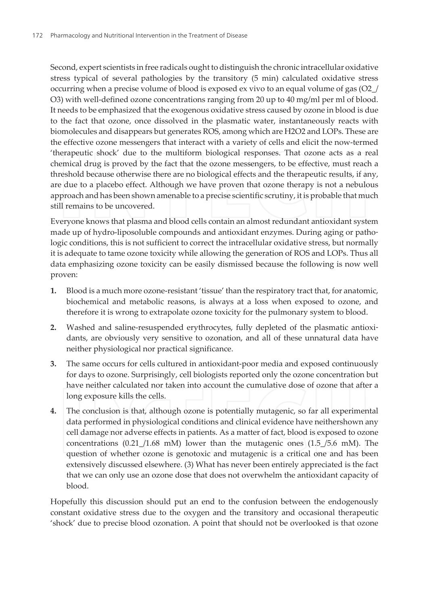Second, expert scientists in free radicals ought to distinguish the chronic intracellular oxidative stress typical of several pathologies by the transitory (5 min) calculated oxidative stress occurring when a precise volume of blood is exposed ex vivo to an equal volume of gas (O2\_/ O3) with well-defined ozone concentrations ranging from 20 up to 40 mg/ml per ml of blood. It needs to be emphasized that the exogenous oxidative stress caused by ozone in blood is due to the fact that ozone, once dissolved in the plasmatic water, instantaneously reacts with biomolecules and disappears but generates ROS, among which are H2O2 and LOPs. These are the effective ozone messengers that interact with a variety of cells and elicit the now-termed 'therapeutic shock' due to the multiform biological responses. That ozone acts as a real chemical drug is proved by the fact that the ozone messengers, to be effective, must reach a threshold because otherwise there are no biological effects and the therapeutic results, if any, are due to a placebo effect. Although we have proven that ozone therapy is not a nebulous approach and has been shown amenable to a precise scientific scrutiny, it is probable that much still remains to be uncovered.

Everyone knows that plasma and blood cells contain an almost redundant antioxidant system made up of hydro-liposoluble compounds and antioxidant enzymes. During aging or pathologic conditions, this is not sufficient to correct the intracellular oxidative stress, but normally it is adequate to tame ozone toxicity while allowing the generation of ROS and LOPs. Thus all data emphasizing ozone toxicity can be easily dismissed because the following is now well proven:

- **1.** Blood is a much more ozone-resistant 'tissue' than the respiratory tract that, for anatomic, biochemical and metabolic reasons, is always at a loss when exposed to ozone, and therefore it is wrong to extrapolate ozone toxicity for the pulmonary system to blood.
- 2. Washed and saline-resuspended erythrocytes, fully depleted of the plasmatic antioxidants, are obviously very sensitive to ozonation, and all of these unnatural data have neither physiological nor practical significance.
- **3.** The same occurs for cells cultured in antioxidant-poor media and exposed continuously for days to ozone. Surprisingly, cell biologists reported only the ozone concentration but have neither calculated nor taken into account the cumulative dose of ozone that after a long exposure kills the cells.
- **4.** The conclusion is that, although ozone is potentially mutagenic, so far all experimental data performed in physiological conditions and clinical evidence have neithershown any cell damage nor adverse effects in patients. As a matter of fact, blood is exposed to ozone concentrations  $(0.21\_1.68 \text{ mM})$  lower than the mutagenic ones  $(1.5\_5.6 \text{ mM})$ . The question of whether ozone is genotoxic and mutagenic is a critical one and has been extensively discussed elsewhere. (3) What has never been entirely appreciated is the fact that we can only use an ozone dose that does not overwhelm the antioxidant capacity of blood.

Hopefully this discussion should put an end to the confusion between the endogenously constant oxidative stress due to the oxygen and the transitory and occasional therapeutic 'shock' due to precise blood ozonation. A point that should not be overlooked is that ozone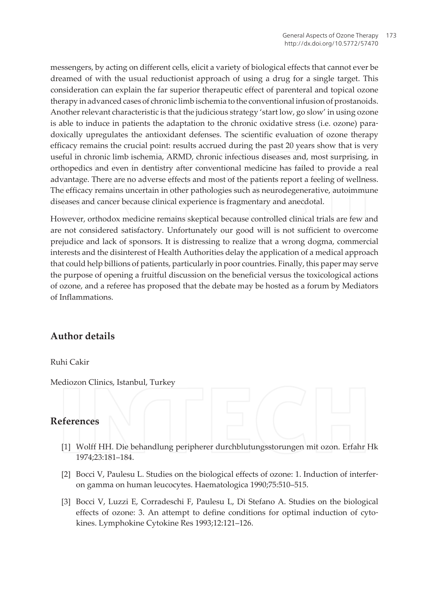messengers, by acting on different cells, elicit a variety of biological effects that cannot ever be dreamed of with the usual reductionist approach of using a drug for a single target. This consideration can explain the far superior therapeutic effect of parenteral and topical ozone therapy in advanced cases of chronic limb ischemia to the conventional infusion of prostanoids. Another relevant characteristic is that the judicious strategy 'start low, go slow' in using ozone is able to induce in patients the adaptation to the chronic oxidative stress (i.e. ozone) paradoxically upregulates the antioxidant defenses. The scientific evaluation of ozone therapy efficacy remains the crucial point: results accrued during the past 20 years show that is very useful in chronic limb ischemia, ARMD, chronic infectious diseases and, most surprising, in orthopedics and even in dentistry after conventional medicine has failed to provide a real advantage. There are no adverse effects and most of the patients report a feeling of wellness. The efficacy remains uncertain in other pathologies such as neurodegenerative, autoimmune diseases and cancer because clinical experience is fragmentary and anecdotal.

However, orthodox medicine remains skeptical because controlled clinical trials are few and are not considered satisfactory. Unfortunately our good will is not sufficient to overcome prejudice and lack of sponsors. It is distressing to realize that a wrong dogma, commercial interests and the disinterest of Health Authorities delay the application of a medical approach that could help billions of patients, particularly in poor countries. Finally, this paper may serve the purpose of opening a fruitful discussion on the beneficial versus the toxicological actions of ozone, and a referee has proposed that the debate may be hosted as a forum by Mediators of Inflammations.

# **Author details**

Ruhi Cakir

Mediozon Clinics, Istanbul, Turkey

# **References**

- [1] Wolff HH. Die behandlung peripherer durchblutungsstorungen mit ozon. Erfahr Hk 1974;23:181–184.
- [2] Bocci V, Paulesu L. Studies on the biological effects of ozone: 1. Induction of interferon gamma on human leucocytes. Haematologica 1990;75:510–515.
- [3] Bocci V, Luzzi E, Corradeschi F, Paulesu L, Di Stefano A. Studies on the biological effects of ozone: 3. An attempt to define conditions for optimal induction of cytokines. Lymphokine Cytokine Res 1993;12:121–126.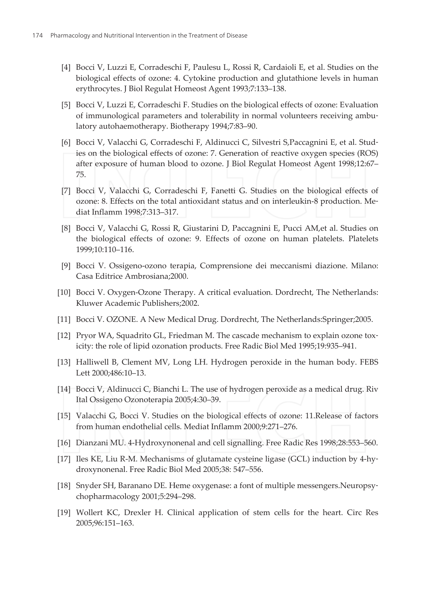- [4] Bocci V, Luzzi E, Corradeschi F, Paulesu L, Rossi R, Cardaioli E, et al. Studies on the biological effects of ozone: 4. Cytokine production and glutathione levels in human erythrocytes. J Biol Regulat Homeost Agent 1993;7:133–138.
- [5] Bocci V, Luzzi E, Corradeschi F. Studies on the biological effects of ozone: Evaluation of immunological parameters and tolerability in normal volunteers receiving ambu‐ latory autohaemotherapy. Biotherapy 1994;7:83–90.
- [6] Bocci V, Valacchi G, Corradeschi F, Aldinucci C, Silvestri S,Paccagnini E, et al. Stud‐ ies on the biological effects of ozone: 7. Generation of reactive oxygen species (ROS) after exposure of human blood to ozone. J Biol Regulat Homeost Agent 1998;12:67– 75.
- [7] Bocci V, Valacchi G, Corradeschi F, Fanetti G. Studies on the biological effects of ozone: 8. Effects on the total antioxidant status and on interleukin-8 production. Me‐ diat Inflamm 1998;7:313–317.
- [8] Bocci V, Valacchi G, Rossi R, Giustarini D, Paccagnini E, Pucci AM,et al. Studies on the biological effects of ozone: 9. Effects of ozone on human platelets. Platelets 1999;10:110–116.
- [9] Bocci V. Ossigeno-ozono terapia, Comprensione dei meccanismi diazione. Milano: Casa Editrice Ambrosiana;2000.
- [10] Bocci V. Oxygen-Ozone Therapy. A critical evaluation. Dordrecht, The Netherlands: Kluwer Academic Publishers;2002.
- [11] Bocci V. OZONE. A New Medical Drug. Dordrecht, The Netherlands:Springer;2005.
- [12] Pryor WA, Squadrito GL, Friedman M. The cascade mechanism to explain ozone toxicity: the role of lipid ozonation products. Free Radic Biol Med 1995;19:935–941.
- [13] Halliwell B, Clement MV, Long LH. Hydrogen peroxide in the human body. FEBS Lett 2000;486:10–13.
- [14] Bocci V, Aldinucci C, Bianchi L. The use of hydrogen peroxide as a medical drug. Riv Ital Ossigeno Ozonoterapia 2005;4:30–39.
- [15] Valacchi G, Bocci V. Studies on the biological effects of ozone: 11.Release of factors from human endothelial cells. Mediat Inflamm 2000;9:271–276.
- [16] Dianzani MU. 4-Hydroxynonenal and cell signalling. Free Radic Res 1998;28:553–560.
- [17] Iles KE, Liu R-M. Mechanisms of glutamate cysteine ligase (GCL) induction by 4-hy‐ droxynonenal. Free Radic Biol Med 2005;38: 547–556.
- [18] Snyder SH, Baranano DE. Heme oxygenase: a font of multiple messengers.Neuropsy‐ chopharmacology 2001;5:294–298.
- [19] Wollert KC, Drexler H. Clinical application of stem cells for the heart. Circ Res 2005;96:151–163.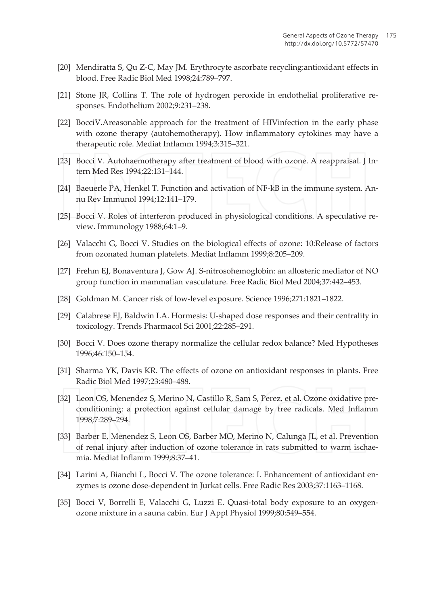- [20] Mendiratta S, Qu Z-C, May JM. Erythrocyte ascorbate recycling:antioxidant effects in blood. Free Radic Biol Med 1998;24:789–797.
- [21] Stone JR, Collins T. The role of hydrogen peroxide in endothelial proliferative responses. Endothelium 2002;9:231–238.
- [22] BocciV.Areasonable approach for the treatment of HIVinfection in the early phase with ozone therapy (autohemotherapy). How inflammatory cytokines may have a therapeutic role. Mediat Inflamm 1994;3:315–321.
- [23] Bocci V. Autohaemotherapy after treatment of blood with ozone. A reappraisal. J Intern Med Res 1994;22:131–144.
- [24] Baeuerle PA, Henkel T. Function and activation of NF-kB in the immune system. An‐ nu Rev Immunol 1994;12:141–179.
- [25] Bocci V. Roles of interferon produced in physiological conditions. A speculative review. Immunology 1988;64:1–9.
- [26] Valacchi G, Bocci V. Studies on the biological effects of ozone: 10:Release of factors from ozonated human platelets. Mediat Inflamm 1999;8:205–209.
- [27] Frehm EJ, Bonaventura J, Gow AJ. S-nitrosohemoglobin: an allosteric mediator of NO group function in mammalian vasculature. Free Radic Biol Med 2004;37:442–453.
- [28] Goldman M. Cancer risk of low-level exposure. Science 1996;271:1821–1822.
- [29] Calabrese EJ, Baldwin LA. Hormesis: U-shaped dose responses and their centrality in toxicology. Trends Pharmacol Sci 2001;22:285–291.
- [30] Bocci V. Does ozone therapy normalize the cellular redox balance? Med Hypotheses 1996;46:150–154.
- [31] Sharma YK, Davis KR. The effects of ozone on antioxidant responses in plants. Free Radic Biol Med 1997;23:480–488.
- [32] Leon OS, Menendez S, Merino N, Castillo R, Sam S, Perez, et al. Ozone oxidative pre‐ conditioning: a protection against cellular damage by free radicals. Med Inflamm 1998;7:289–294.
- [33] Barber E, Menendez S, Leon OS, Barber MO, Merino N, Calunga JL, et al. Prevention of renal injury after induction of ozone tolerance in rats submitted to warm ischae‐ mia. Mediat Inflamm 1999;8:37–41.
- [34] Larini A, Bianchi L, Bocci V. The ozone tolerance: I. Enhancement of antioxidant enzymes is ozone dose-dependent in Jurkat cells. Free Radic Res 2003;37:1163–1168.
- [35] Bocci V, Borrelli E, Valacchi G, Luzzi E. Quasi-total body exposure to an oxygenozone mixture in a sauna cabin. Eur J Appl Physiol 1999;80:549–554.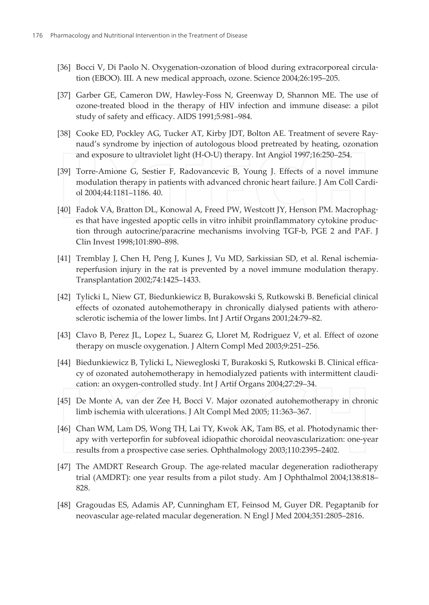- [36] Bocci V, Di Paolo N. Oxygenation-ozonation of blood during extracorporeal circulation (EBOO). III. A new medical approach, ozone. Science 2004;26:195–205.
- [37] Garber GE, Cameron DW, Hawley-Foss N, Greenway D, Shannon ME. The use of ozone-treated blood in the therapy of HIV infection and immune disease: a pilot study of safety and efficacy. AIDS 1991;5:981–984.
- [38] Cooke ED, Pockley AG, Tucker AT, Kirby JDT, Bolton AE. Treatment of severe Raynaud's syndrome by injection of autologous blood pretreated by heating, ozonation and exposure to ultraviolet light (H-O-U) therapy. Int Angiol 1997;16:250–254.
- [39] Torre-Amione G, Sestier F, Radovancevic B, Young J. Effects of a novel immune modulation therapy in patients with advanced chronic heart failure. J Am Coll Cardiol 2004;44:1181–1186. 40.
- [40] Fadok VA, Bratton DL, Konowal A, Freed PW, Westcott JY, Henson PM. Macrophag‐ es that have ingested apoptic cells in vitro inhibit proinflammatory cytokine produc‐ tion through autocrine/paracrine mechanisms involving TGF-b, PGE 2 and PAF. J Clin Invest 1998;101:890–898.
- [41] Tremblay J, Chen H, Peng J, Kunes J, Vu MD, Sarkissian SD, et al. Renal ischemiareperfusion injury in the rat is prevented by a novel immune modulation therapy. Transplantation 2002;74:1425–1433.
- [42] Tylicki L, Niew GT, Biedunkiewicz B, Burakowski S, Rutkowski B. Beneficial clinical effects of ozonated autohemotherapy in chronically dialysed patients with atherosclerotic ischemia of the lower limbs. Int J Artif Organs 2001;24:79–82.
- [43] Clavo B, Perez JL, Lopez L, Suarez G, Lloret M, Rodriguez V, et al. Effect of ozone therapy on muscle oxygenation. J Altern Compl Med 2003;9:251–256.
- [44] Biedunkiewicz B, Tylicki L, Niewegloski T, Burakoski S, Rutkowski B. Clinical effica‐ cy of ozonated autohemotherapy in hemodialyzed patients with intermittent claudi‐ cation: an oxygen-controlled study. Int J Artif Organs 2004;27:29–34.
- [45] De Monte A, van der Zee H, Bocci V. Major ozonated autohemotherapy in chronic limb ischemia with ulcerations. J Alt Compl Med 2005; 11:363–367.
- [46] Chan WM, Lam DS, Wong TH, Lai TY, Kwok AK, Tam BS, et al. Photodynamic ther‐ apy with verteporfin for subfoveal idiopathic choroidal neovascularization: one-year results from a prospective case series. Ophthalmology 2003;110:2395–2402.
- [47] The AMDRT Research Group. The age-related macular degeneration radiotherapy trial (AMDRT): one year results from a pilot study. Am J Ophthalmol 2004;138:818– 828.
- [48] Gragoudas ES, Adamis AP, Cunningham ET, Feinsod M, Guyer DR. Pegaptanib for neovascular age-related macular degeneration. N Engl J Med 2004;351:2805–2816.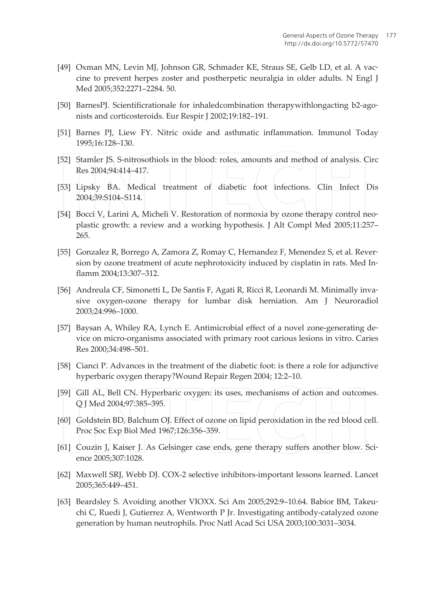- [49] Oxman MN, Levin MJ, Johnson GR, Schmader KE, Straus SE, Gelb LD, et al. A vac‐ cine to prevent herpes zoster and postherpetic neuralgia in older adults. N Engl J Med 2005;352:2271–2284. 50.
- [50] BarnesPJ. Scientificrationale for inhaledcombination therapywithlongacting b2-ago‐ nists and corticosteroids. Eur Respir J 2002;19:182–191.
- [51] Barnes PJ, Liew FY. Nitric oxide and asthmatic inflammation. Immunol Today 1995;16:128–130.
- [52] Stamler JS. S-nitrosothiols in the blood: roles, amounts and method of analysis. Circ Res 2004;94:414–417.
- [53] Lipsky BA. Medical treatment of diabetic foot infections. Clin Infect Dis 2004;39:S104–S114.
- [54] Bocci V, Larini A, Micheli V. Restoration of normoxia by ozone therapy control neoplastic growth: a review and a working hypothesis. J Alt Compl Med 2005;11:257– 265.
- [55] Gonzalez R, Borrego A, Zamora Z, Romay C, Hernandez F, Menendez S, et al. Rever‐ sion by ozone treatment of acute nephrotoxicity induced by cisplatin in rats. Med In‐ flamm 2004;13:307–312.
- [56] Andreula CF, Simonetti L, De Santis F, Agati R, Ricci R, Leonardi M. Minimally inva‐ sive oxygen-ozone therapy for lumbar disk herniation. Am J Neuroradiol 2003;24:996–1000.
- [57] Baysan A, Whiley RA, Lynch E. Antimicrobial effect of a novel zone-generating de‐ vice on micro-organisms associated with primary root carious lesions in vitro. Caries Res 2000;34:498–501.
- [58] Cianci P. Advances in the treatment of the diabetic foot: is there a role for adjunctive hyperbaric oxygen therapy?Wound Repair Regen 2004; 12:2–10.
- [59] Gill AL, Bell CN. Hyperbaric oxygen: its uses, mechanisms of action and outcomes. Q J Med 2004;97:385–395.
- [60] Goldstein BD, Balchum OJ. Effect of ozone on lipid peroxidation in the red blood cell. Proc Soc Exp Biol Med 1967;126:356–359.
- [61] Couzin J, Kaiser J. As Gelsinger case ends, gene therapy suffers another blow. Science 2005;307:1028.
- [62] Maxwell SRJ, Webb DJ. COX-2 selective inhibitors-important lessons learned. Lancet 2005;365:449–451.
- [63] Beardsley S. Avoiding another VIOXX. Sci Am 2005;292:9-10.64. Babior BM, Takeuchi C, Ruedi J, Gutierrez A, Wentworth P Jr. Investigating antibody-catalyzed ozone generation by human neutrophils. Proc Natl Acad Sci USA 2003;100:3031–3034.